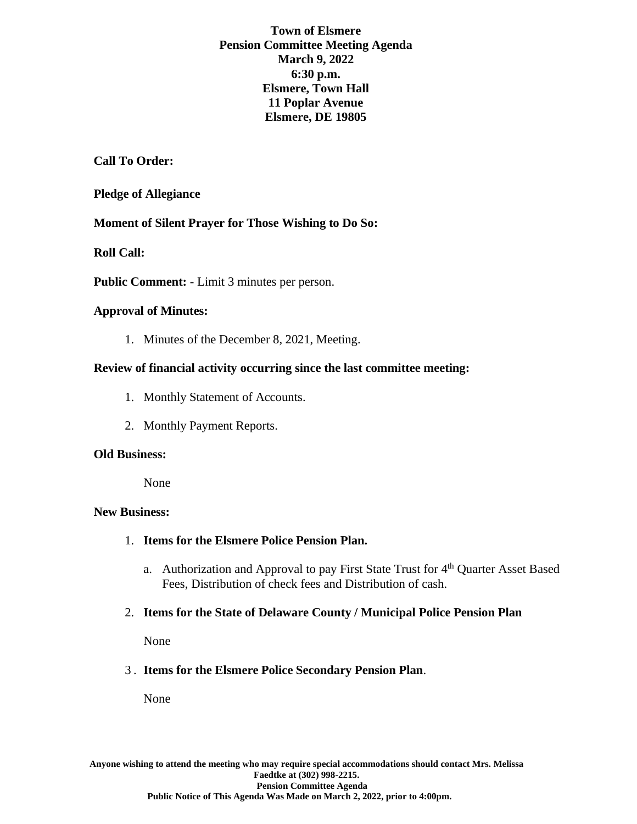**Town of Elsmere Pension Committee Meeting Agenda March 9, 2022 6:30 p.m. Elsmere, Town Hall 11 Poplar Avenue Elsmere, DE 19805**

**Call To Order:**

## **Pledge of Allegiance**

**Moment of Silent Prayer for Those Wishing to Do So:**

**Roll Call:**

**Public Comment:** - Limit 3 minutes per person.

### **Approval of Minutes:**

1. Minutes of the December 8, 2021, Meeting.

## **Review of financial activity occurring since the last committee meeting:**

- 1. Monthly Statement of Accounts.
- 2. Monthly Payment Reports.

### **Old Business:**

None

## **New Business:**

- 1. **Items for the Elsmere Police Pension Plan.**
	- a. Authorization and Approval to pay First State Trust for 4<sup>th</sup> Quarter Asset Based Fees, Distribution of check fees and Distribution of cash.
- 2. **Items for the State of Delaware County / Municipal Police Pension Plan**

None

# 3 . **Items for the Elsmere Police Secondary Pension Plan**.

None